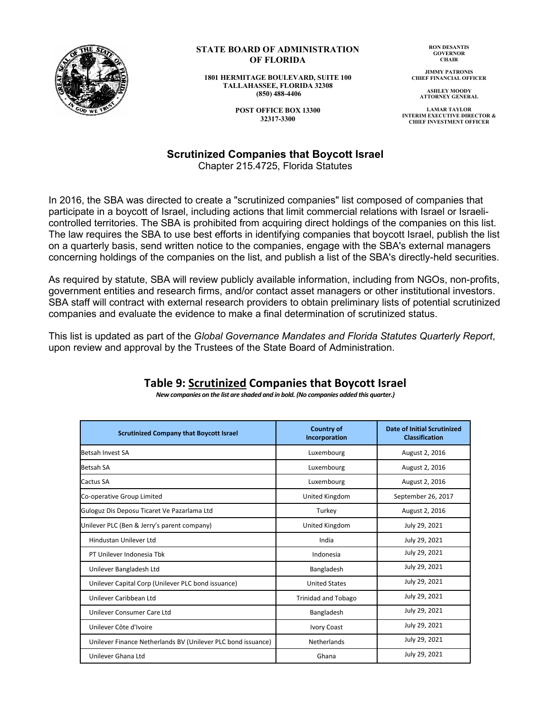

## **STATE BOARD OF ADMINISTRATION OF FLORIDA**

**1801 HERMITAGE BOULEVARD, SUITE 100 TALLAHASSEE, FLORIDA 32308 (850) 488-4406**

> **POST OFFICE BOX 13300 32317-3300**

**RON DESANTIS GOVERNOR CHAIR**

**JIMMY PATRONIS CHIEF FINANCIAL OFFICER**

**ASHLEY MOODY ATTORNEY GENERAL**

**LAMAR TAYLOR INTERIM EXECUTIVE DIRECTOR & CHIEF INVESTMENT OFFICER**

## **Scrutinized Companies that Boycott Israel**

Chapter 215.4725, Florida Statutes

In 2016, the SBA was directed to create a "scrutinized companies" list composed of companies that participate in a boycott of Israel, including actions that limit commercial relations with Israel or Israelicontrolled territories. The SBA is prohibited from acquiring direct holdings of the companies on this list. The law requires the SBA to use best efforts in identifying companies that boycott Israel, publish the list on a quarterly basis, send written notice to the companies, engage with the SBA's external managers concerning holdings of the companies on the list, and publish a list of the SBA's directly-held securities.

As required by statute, SBA will review publicly available information, including from NGOs, non-profits, government entities and research firms, and/or contact asset managers or other institutional investors. SBA staff will contract with external research providers to obtain preliminary lists of potential scrutinized companies and evaluate the evidence to make a final determination of scrutinized status.

This list is updated as part of the *Global Governance Mandates and Florida Statutes Quarterly Report*, upon review and approval by the Trustees of the State Board of Administration.

| <b>Scrutinized Company that Boycott Israel</b>               | <b>Country of</b><br>Incorporation | <b>Date of Initial Scrutinized</b><br><b>Classification</b> |
|--------------------------------------------------------------|------------------------------------|-------------------------------------------------------------|
| Betsah Invest SA                                             | Luxembourg                         | August 2, 2016                                              |
| <b>Betsah SA</b>                                             | Luxembourg                         | August 2, 2016                                              |
| Cactus SA                                                    | Luxembourg                         | August 2, 2016                                              |
| Co-operative Group Limited                                   | United Kingdom                     | September 26, 2017                                          |
| Guloguz Dis Deposu Ticaret Ve Pazarlama Ltd                  | Turkey                             | August 2, 2016                                              |
| Unilever PLC (Ben & Jerry's parent company)                  | United Kingdom                     | July 29, 2021                                               |
| Hindustan Unilever Ltd                                       | India                              | July 29, 2021                                               |
| PT Unilever Indonesia Tbk                                    | Indonesia                          | July 29, 2021                                               |
| Unilever Bangladesh Ltd                                      | Bangladesh                         | July 29, 2021                                               |
| Unilever Capital Corp (Unilever PLC bond issuance)           | <b>United States</b>               | July 29, 2021                                               |
| Unilever Caribbean Ltd                                       | <b>Trinidad and Tobago</b>         | July 29, 2021                                               |
| Unilever Consumer Care Ltd                                   | Bangladesh                         | July 29, 2021                                               |
| Unilever Côte d'Ivoire                                       | <b>Ivory Coast</b>                 | July 29, 2021                                               |
| Unilever Finance Netherlands BV (Unilever PLC bond issuance) | Netherlands                        | July 29, 2021                                               |
| Unilever Ghana Ltd                                           | Ghana                              | July 29, 2021                                               |

## **Table 9: Scrutinized Companies that Boycott Israel** *New companies on the list are shaded and in bold. (No companies added this quarter.)*